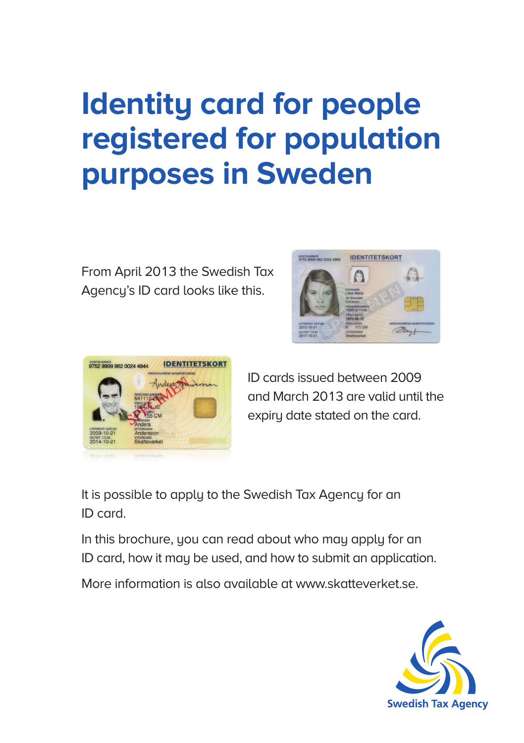# **Identity card for people registered for population purposes in Sweden**

From April 2013 the Swedish Tax Agency's ID card looks like this.





ID cards issued between 2009 and March 2013 are valid until the expiry date stated on the card.

It is possible to apply to the Swedish Tax Agency for an ID card.

In this brochure, you can read about who may apply for an ID card, how it may be used, and how to submit an application.

More information is also available at www.skatteverket.se.

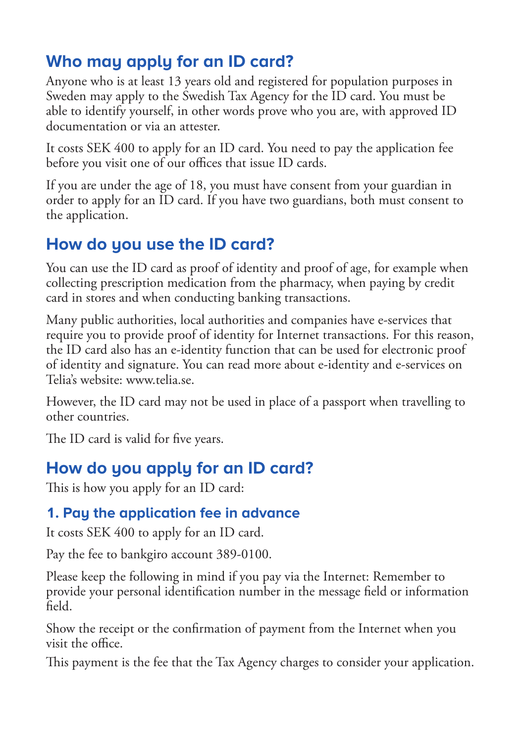# **Who may apply for an ID card?**

Anyone who is at least 13 years old and registered for population purposes in Sweden may apply to the Swedish Tax Agency for the ID card. You must be able to identify yourself, in other words prove who you are, with approved ID documentation or via an attester.

It costs SEK 400 to apply for an ID card. You need to pay the application fee before you visit one of our offices that issue ID cards.

If you are under the age of 18, you must have consent from your guardian in order to apply for an ID card. If you have two guardians, both must consent to the application.

# **How do you use the ID card?**

You can use the ID card as proof of identity and proof of age, for example when collecting prescription medication from the pharmacy, when paying by credit card in stores and when conducting banking transactions.

Many public authorities, local authorities and companies have e-services that require you to provide proof of identity for Internet transactions. For this reason, the ID card also has an e-identity function that can be used for electronic proof of identity and signature. You can read more about e-identity and e-services on Telia's website: www.telia.se.

However, the ID card may not be used in place of a passport when travelling to other countries.

The ID card is valid for five years.

# **How do you apply for an ID card?**

This is how you apply for an ID card:

## **1. Pay the application fee in advance**

It costs SEK 400 to apply for an ID card.

Pay the fee to bankgiro account 389-0100.

Please keep the following in mind if you pay via the Internet: Remember to provide your personal identification number in the message field or information field.

Show the receipt or the confirmation of payment from the Internet when you visit the office.

This payment is the fee that the Tax Agency charges to consider your application.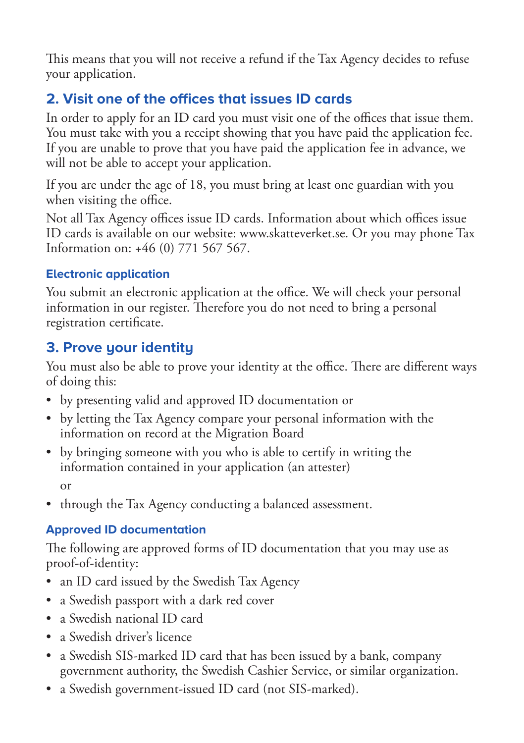This means that you will not receive a refund if the Tax Agency decides to refuse your application.

## **2. Visit one of the offices that issues ID cards**

In order to apply for an ID card you must visit one of the offices that issue them. You must take with you a receipt showing that you have paid the application fee. If you are unable to prove that you have paid the application fee in advance, we will not be able to accept your application.

If you are under the age of 18, you must bring at least one guardian with you when visiting the office.

Not all Tax Agency offices issue ID cards. Information about which offices issue ID cards is available on our website: www.skatteverket.se. Or you may phone Tax Information on: +46 (0) 771 567 567.

#### **Electronic application**

You submit an electronic application at the office. We will check your personal information in our register. Therefore you do not need to bring a personal registration certificate.

## **3. Prove your identity**

You must also be able to prove your identity at the office. There are different ways of doing this:

- by presenting valid and approved ID documentation or
- by letting the Tax Agency compare your personal information with the information on record at the Migration Board
- by bringing someone with you who is able to certify in writing the information contained in your application (an attester) or
- through the Tax Agency conducting a balanced assessment.

#### **Approved ID documentation**

The following are approved forms of ID documentation that you may use as proof-of-identity:

- an ID card issued by the Swedish Tax Agency
- a Swedish passport with a dark red cover
- a Swedish national ID card
- a Swedish driver's licence
- a Swedish SIS-marked ID card that has been issued by a bank, company government authority, the Swedish Cashier Service, or similar organization.
- a Swedish government-issued ID card (not SIS-marked).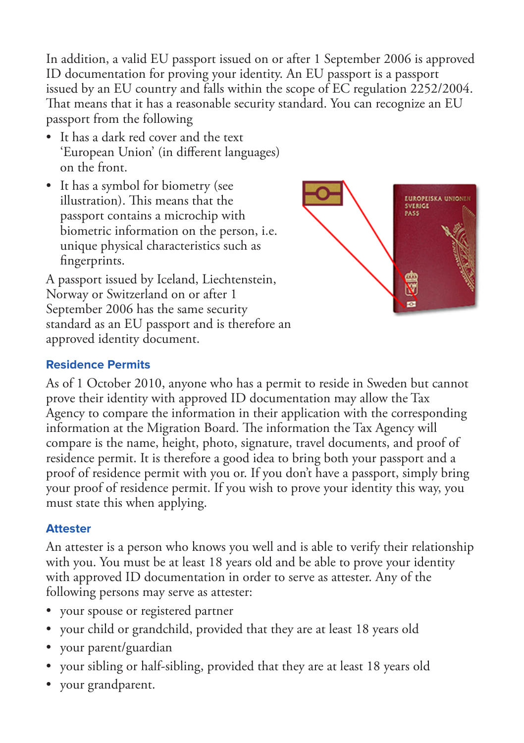In addition, a valid EU passport issued on or after 1 September 2006 is approved ID documentation for proving your identity. An EU passport is a passport issued by an EU country and falls within the scope of EC regulation 2252/2004. That means that it has a reasonable security standard. You can recognize an EU passport from the following

- It has a dark red cover and the text 'European Union' (in different languages) on the front.
- It has a symbol for biometry (see illustration). This means that the passport contains a microchip with biometric information on the person, i.e. unique physical characteristics such as fingerprints.

A passport issued by Iceland, Liechtenstein, Norway or Switzerland on or after 1 September 2006 has the same security standard as an EU passport and is therefore an approved identity document.



#### **Residence Permits**

As of 1 October 2010, anyone who has a permit to reside in Sweden but cannot prove their identity with approved ID documentation may allow the Tax Agency to compare the information in their application with the corresponding information at the Migration Board. The information the Tax Agency will compare is the name, height, photo, signature, travel documents, and proof of residence permit. It is therefore a good idea to bring both your passport and a proof of residence permit with you or. If you don't have a passport, simply bring your proof of residence permit. If you wish to prove your identity this way, you must state this when applying.

#### **Attester**

An attester is a person who knows you well and is able to verify their relationship with you. You must be at least 18 years old and be able to prove your identity with approved ID documentation in order to serve as attester. Any of the following persons may serve as attester:

- your spouse or registered partner
- your child or grandchild, provided that they are at least 18 years old
- your parent/guardian
- your sibling or half-sibling, provided that they are at least 18 years old
- your grandparent.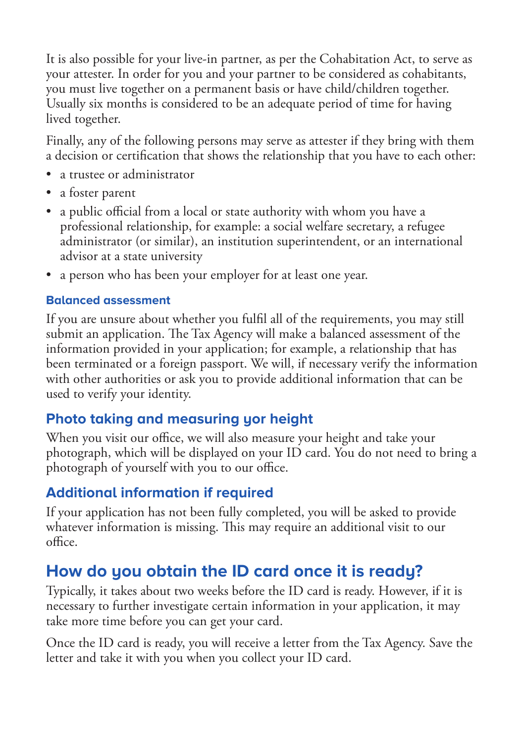It is also possible for your live-in partner, as per the Cohabitation Act, to serve as your attester. In order for you and your partner to be considered as cohabitants, you must live together on a permanent basis or have child/children together. Usually six months is considered to be an adequate period of time for having lived together.

Finally, any of the following persons may serve as attester if they bring with them a decision or certification that shows the relationship that you have to each other:

- a trustee or administrator
- a foster parent
- a public official from a local or state authority with whom you have a professional relationship, for example: a social welfare secretary, a refugee administrator (or similar), an institution superintendent, or an international advisor at a state university
- a person who has been your employer for at least one year.

#### **Balanced assessment**

If you are unsure about whether you fulfil all of the requirements, you may still submit an application. The Tax Agency will make a balanced assessment of the information provided in your application; for example, a relationship that has been terminated or a foreign passport. We will, if necessary verify the information with other authorities or ask you to provide additional information that can be used to verify your identity.

## **Photo taking and measuring yor height**

When you visit our office, we will also measure your height and take your photograph, which will be displayed on your ID card. You do not need to bring a photograph of yourself with you to our office.

## **Additional information if required**

If your application has not been fully completed, you will be asked to provide whatever information is missing. This may require an additional visit to our office.

# **How do you obtain the ID card once it is ready?**

Typically, it takes about two weeks before the ID card is ready. However, if it is necessary to further investigate certain information in your application, it may take more time before you can get your card.

Once the ID card is ready, you will receive a letter from the Tax Agency. Save the letter and take it with you when you collect your ID card.